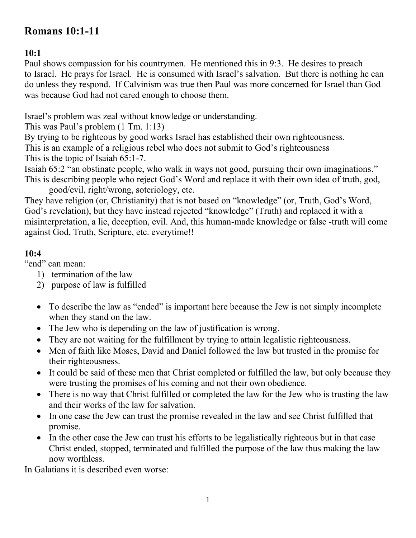# **Romans 10:1-11**

# **10:1**

Paul shows compassion for his countrymen. He mentioned this in 9:3. He desires to preach to Israel. He prays for Israel. He is consumed with Israel's salvation. But there is nothing he can do unless they respond. If Calvinism was true then Paul was more concerned for Israel than God was because God had not cared enough to choose them.

Israel's problem was zeal without knowledge or understanding.

This was Paul's problem (1 Tm. 1:13)

By trying to be righteous by good works Israel has established their own righteousness. This is an example of a religious rebel who does not submit to God's righteousness

This is the topic of Isaiah 65:1-7.

Isaiah 65:2 "an obstinate people, who walk in ways not good, pursuing their own imaginations." This is describing people who reject God's Word and replace it with their own idea of truth, god,

good/evil, right/wrong, soteriology, etc. They have religion (or, Christianity) that is not based on "knowledge" (or, Truth, God's Word, God's revelation), but they have instead rejected "knowledge" (Truth) and replaced it with a misinterpretation, a lie, deception, evil. And, this human-made knowledge or false -truth will come against God, Truth, Scripture, etc. everytime!!

## **10:4**

"end" can mean:

- 1) termination of the law
- 2) purpose of law is fulfilled
- To describe the law as "ended" is important here because the Jew is not simply incomplete when they stand on the law.
- The Jew who is depending on the law of justification is wrong.
- They are not waiting for the fulfillment by trying to attain legalistic righteousness.
- Men of faith like Moses, David and Daniel followed the law but trusted in the promise for their righteousness.
- It could be said of these men that Christ completed or fulfilled the law, but only because they were trusting the promises of his coming and not their own obedience.
- There is no way that Christ fulfilled or completed the law for the Jew who is trusting the law and their works of the law for salvation.
- In one case the Jew can trust the promise revealed in the law and see Christ fulfilled that promise.
- In the other case the Jew can trust his efforts to be legalistically righteous but in that case Christ ended, stopped, terminated and fulfilled the purpose of the law thus making the law now worthless.

In Galatians it is described even worse: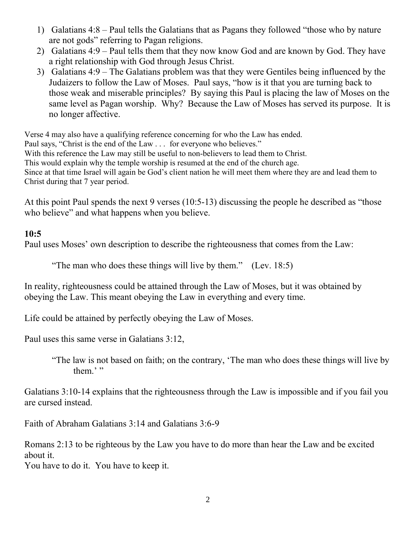- 1) Galatians 4:8 Paul tells the Galatians that as Pagans they followed "those who by nature are not gods" referring to Pagan religions.
- 2) Galatians 4:9 Paul tells them that they now know God and are known by God. They have a right relationship with God through Jesus Christ.
- 3) Galatians 4:9 The Galatians problem was that they were Gentiles being influenced by the Judaizers to follow the Law of Moses. Paul says, "how is it that you are turning back to those weak and miserable principles? By saying this Paul is placing the law of Moses on the same level as Pagan worship. Why? Because the Law of Moses has served its purpose. It is no longer affective.

Verse 4 may also have a qualifying reference concerning for who the Law has ended. Paul says, "Christ is the end of the Law . . . for everyone who believes." With this reference the Law may still be useful to non-believers to lead them to Christ. This would explain why the temple worship is resumed at the end of the church age. Since at that time Israel will again be God's client nation he will meet them where they are and lead them to Christ during that 7 year period.

At this point Paul spends the next 9 verses (10:5-13) discussing the people he described as "those who believe" and what happens when you believe.

#### **10:5**

Paul uses Moses' own description to describe the righteousness that comes from the Law:

"The man who does these things will live by them." (Lev. 18:5)

In reality, righteousness could be attained through the Law of Moses, but it was obtained by obeying the Law. This meant obeying the Law in everything and every time.

Life could be attained by perfectly obeying the Law of Moses.

Paul uses this same verse in Galatians 3:12,

 "The law is not based on faith; on the contrary, 'The man who does these things will live by them.'"

Galatians 3:10-14 explains that the righteousness through the Law is impossible and if you fail you are cursed instead.

Faith of Abraham Galatians 3:14 and Galatians 3:6-9

Romans 2:13 to be righteous by the Law you have to do more than hear the Law and be excited about it.

You have to do it. You have to keep it.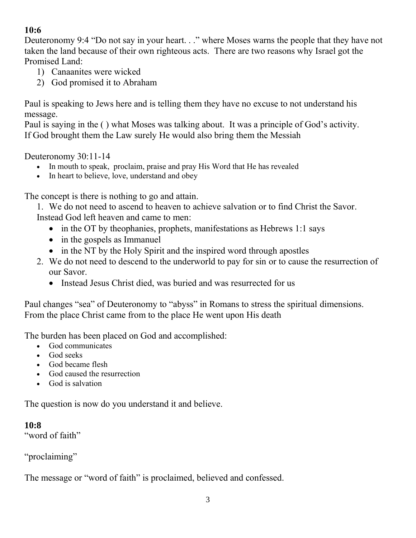## **10:6**

Deuteronomy 9:4 "Do not say in your heart. . ." where Moses warns the people that they have not taken the land because of their own righteous acts. There are two reasons why Israel got the Promised Land:

- 1) Canaanites were wicked
- 2) God promised it to Abraham

Paul is speaking to Jews here and is telling them they have no excuse to not understand his message.

Paul is saying in the ( ) what Moses was talking about. It was a principle of God's activity. If God brought them the Law surely He would also bring them the Messiah

Deuteronomy 30:11-14

- In mouth to speak, proclaim, praise and pray His Word that He has revealed
- In heart to believe, love, understand and obey

The concept is there is nothing to go and attain.

1. We do not need to ascend to heaven to achieve salvation or to find Christ the Savor. Instead God left heaven and came to men:

- in the OT by theophanies, prophets, manifestations as Hebrews 1:1 says
- in the gospels as Immanuel
- in the NT by the Holy Spirit and the inspired word through apostles
- 2. We do not need to descend to the underworld to pay for sin or to cause the resurrection of our Savor.
	- Instead Jesus Christ died, was buried and was resurrected for us

Paul changes "sea" of Deuteronomy to "abyss" in Romans to stress the spiritual dimensions. From the place Christ came from to the place He went upon His death

The burden has been placed on God and accomplished:

- God communicates
- God seeks
- God became flesh
- God caused the resurrection
- God is salvation

The question is now do you understand it and believe.

**10:8**

"word of faith"

"proclaiming"

The message or "word of faith" is proclaimed, believed and confessed.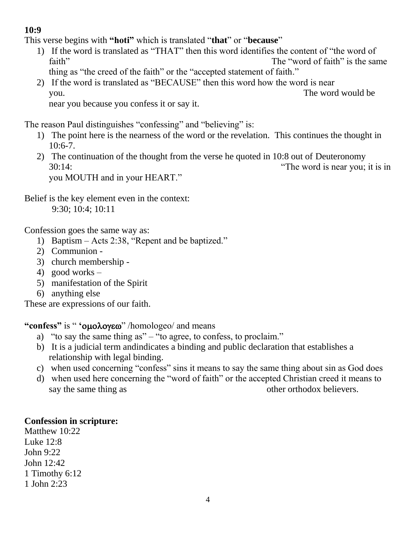### **10:9**

This verse begins with **"hoti"** which is translated "**that**" or "**because**"

- 1) If the word is translated as "THAT" then this word identifies the content of "the word of faith" The "word of faith" is the same thing as "the creed of the faith" or the "accepted statement of faith."
- 2) If the word is translated as "BECAUSE" then this word how the word is near you. The word would be near you because you confess it or say it.

The reason Paul distinguishes "confessing" and "believing" is:

- 1) The point here is the nearness of the word or the revelation. This continues the thought in 10:6-7.
- 2) The continuation of the thought from the verse he quoted in 10:8 out of Deuteronomy 30:14: "The word is near you; it is in you MOUTH and in your HEART."

Belief is the key element even in the context: 9:30; 10:4; 10:11

Confession goes the same way as:

- 1) Baptism Acts 2:38, "Repent and be baptized."
- 2) Communion -
- 3) church membership -
- 4) good works –
- 5) manifestation of the Spirit
- 6) anything else

These are expressions of our faith.

**"confess"** is " **' '** *ouoλογεω*" /homologeo/ and means

- a) "to say the same thing as" "to agree, to confess, to proclaim."
- b) It is a judicial term andindicates a binding and public declaration that establishes a relationship with legal binding.
- c) when used concerning "confess" sins it means to say the same thing about sin as God does
- d) when used here concerning the "word of faith" or the accepted Christian creed it means to say the same thing as other orthodox believers.

#### **Confession in scripture:**

Matthew 10:22 Luke 12:8 John 9:22 John 12:42 1 Timothy 6:12 1 John 2:23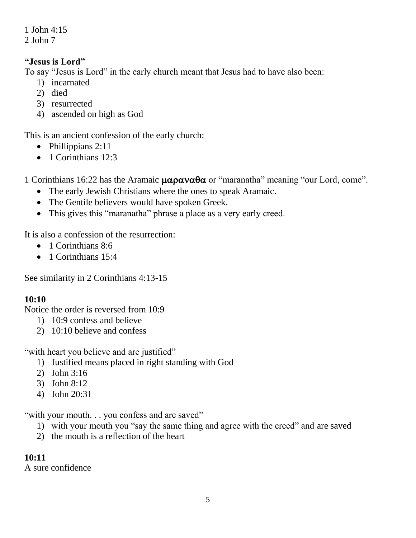1 John 4:15 2 John 7

#### **"Jesus is Lord"**

To say "Jesus is Lord" in the early church meant that Jesus had to have also been:

- 1) incarnated
- 2) died
- 3) resurrected
- 4) ascended on high as God

This is an ancient confession of the early church:

- $\bullet$  Phillippians 2:11
- 1 Corinthians 12:3

1 Corinthians 16:22 has the Aramaic  $\mu\alpha\rho\alpha\nu\alpha\theta\alpha$  or "maranatha" meaning "our Lord, come".

- The early Jewish Christians where the ones to speak Aramaic.
- The Gentile believers would have spoken Greek.
- This gives this "maranatha" phrase a place as a very early creed.

It is also a confession of the resurrection:

- 1 Corinthians 8:6
- $\bullet$  1 Corinthians 15:4

See similarity in 2 Corinthians 4:13-15

#### **10:10**

Notice the order is reversed from 10:9

- 1) 10:9 confess and believe
- 2) 10:10 believe and confess

"with heart you believe and are justified"

- 1) Justified means placed in right standing with God
- 2) John 3:16
- 3) John 8:12
- 4) John 20:31

"with your mouth. . . you confess and are saved"

- 1) with your mouth you "say the same thing and agree with the creed" and are saved
- 2) the mouth is a reflection of the heart

#### **10:11**

A sure confidence